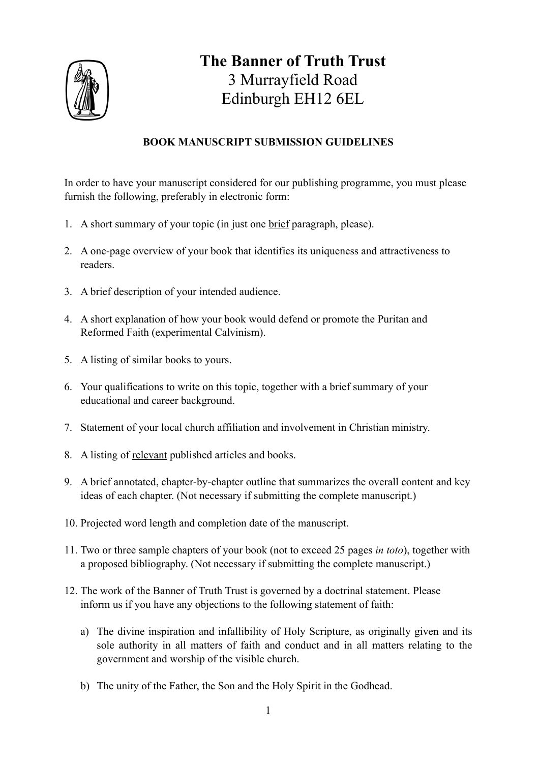

## **The Banner of Truth Trust** 3 Murrayfield Road Edinburgh EH12 6EL

## **BOOK MANUSCRIPT SUBMISSION GUIDELINES**

In order to have your manuscript considered for our publishing programme, you must please furnish the following, preferably in electronic form:

- 1. A short summary of your topic (in just one brief paragraph, please).
- 2. A one-page overview of your book that identifies its uniqueness and attractiveness to readers.
- 3. A brief description of your intended audience.
- 4. A short explanation of how your book would defend or promote the Puritan and Reformed Faith (experimental Calvinism).
- 5. A listing of similar books to yours.
- 6. Your qualifications to write on this topic, together with a brief summary of your educational and career background.
- 7. Statement of your local church affiliation and involvement in Christian ministry.
- 8. A listing of relevant published articles and books.
- 9. A brief annotated, chapter-by-chapter outline that summarizes the overall content and key ideas of each chapter. (Not necessary if submitting the complete manuscript.)
- 10. Projected word length and completion date of the manuscript.
- 11. Two or three sample chapters of your book (not to exceed 25 pages *in toto*), together with a proposed bibliography. (Not necessary if submitting the complete manuscript.)
- 12. The work of the Banner of Truth Trust is governed by a doctrinal statement. Please inform us if you have any objections to the following statement of faith:
	- a) The divine inspiration and infallibility of Holy Scripture, as originally given and its sole authority in all matters of faith and conduct and in all matters relating to the government and worship of the visible church.
	- b) The unity of the Father, the Son and the Holy Spirit in the Godhead.